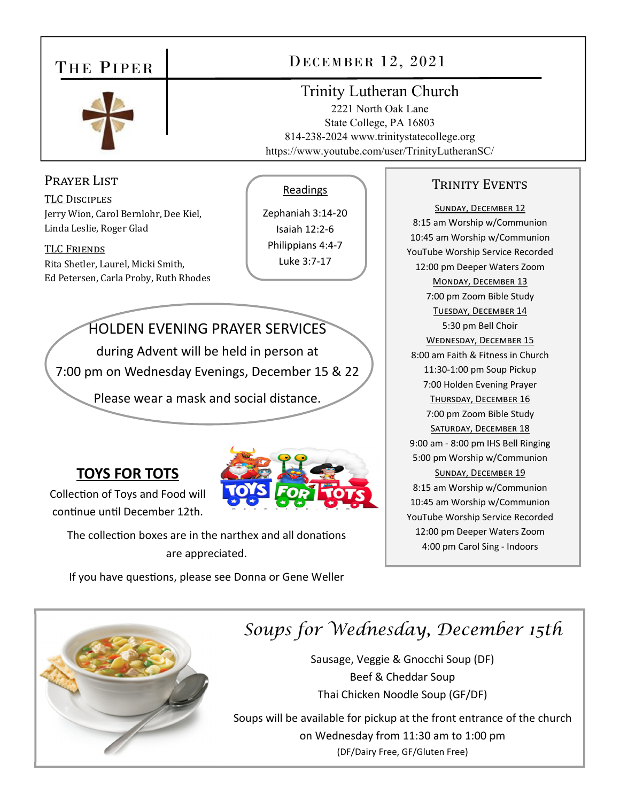### THE PIPER



## DECEMBER 12, 2021

#### Trinity Lutheran Church

2221 North Oak Lane State College, PA 16803 814-238-2024 www.trinitystatecollege.org https://www.youtube.com/user/TrinityLutheranSC/

#### Prayer List

TLC DISCIPLES Jerry Wion, Carol Bernlohr, Dee Kiel, Linda Leslie, Roger Glad

TLC FRIENDS Rita Shetler, Laurel, Micki Smith, Ed Petersen, Carla Proby, Ruth Rhodes

#### Readings

Zephaniah 3:14‐20 Isaiah 12:2‐6 Philippians 4:4‐7 Luke 3:7‐17

HOLDEN EVENING PRAYER SERVICES

during Advent will be held in person at 7:00 pm on Wednesday Evenings, December 15 & 22

Please wear a mask and social distance.

### **TOYS FOR TOTS**

Collection of Toys and Food will continue until December 12th.

The collection boxes are in the narthex and all donations are appreciated.

If you have questions, please see Donna or Gene Weller



### *Soups for Wednesday, December 15th*

Sausage, Veggie & Gnocchi Soup (DF) Beef & Cheddar Soup Thai Chicken Noodle Soup (GF/DF)

Soups will be available for pickup at the front entrance of the church on Wednesday from 11:30 am to 1:00 pm (DF/Dairy Free, GF/Gluten Free)

#### TRINITY EVENTS

SUNDAY, DECEMBER 12 8:15 am Worship w/Communion 10:45 am Worship w/Communion YouTube Worship Service Recorded 12:00 pm Deeper Waters Zoom MONDAY, DECEMBER 13 7:00 pm Zoom Bible Study TUESDAY, DECEMBER 14 5:30 pm Bell Choir WEDNESDAY, DECEMBER 15 8:00 am Faith & Fitness in Church 11:30‐1:00 pm Soup Pickup 7:00 Holden Evening Prayer THURSDAY, DECEMBER 16 7:00 pm Zoom Bible Study SATURDAY, DECEMBER 18 9:00 am ‐ 8:00 pm IHS Bell Ringing 5:00 pm Worship w/Communion SUNDAY, DECEMBER 19 8:15 am Worship w/Communion 10:45 am Worship w/Communion YouTube Worship Service Recorded 12:00 pm Deeper Waters Zoom 4:00 pm Carol Sing ‐ Indoors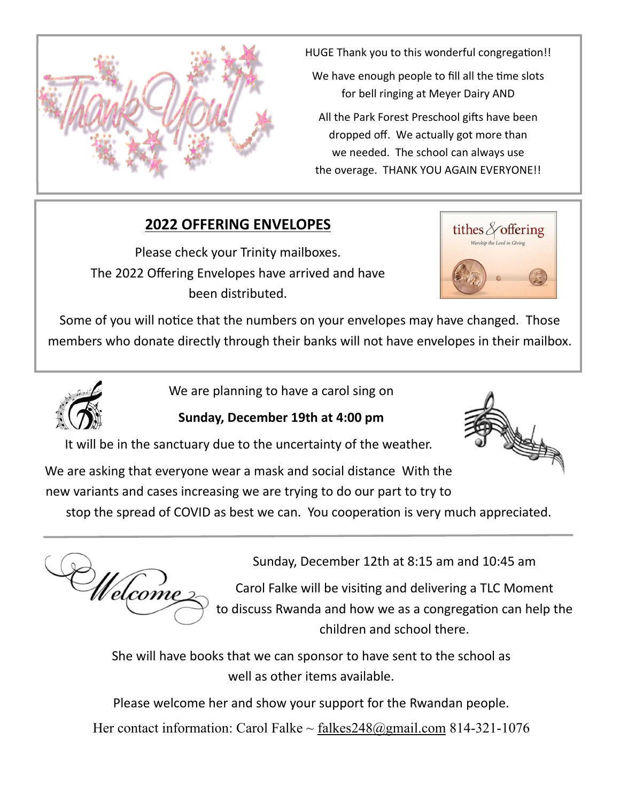

HUGE Thank you to this wonderful congregation!!

We have enough people to fill all the time slots for bell ringing at Meyer Dairy AND

All the Park Forest Preschool gifts have been dropped off. We actually got more than we needed. The school can always use the overage. THANK YOU AGAIN EVERYONE!!

### **2022 OFFERING ENVELOPES**

Please check your Trinity mailboxes. The 2022 Offering Envelopes have arrived and have been distributed.



Some of you will notice that the numbers on your envelopes may have changed. Those members who donate directly through their banks will not have envelopes in their mailbox.



We are planning to have a carol sing on

**Sunday, December 19th at 4:00 pm** 

It will be in the sanctuary due to the uncertainty of the weather.

We are asking that everyone wear a mask and social distance With the new variants and cases increasing we are trying to do our part to try to

stop the spread of COVID as best we can. You cooperation is very much appreciated.

Welcome

Sunday, December 12th at 8:15 am and 10:45 am

Carol Falke will be visiting and delivering a TLC Moment to discuss Rwanda and how we as a congregation can help the children and school there.

She will have books that we can sponsor to have sent to the school as well as other items available.

Please welcome her and show your support for the Rwandan people.

Her contact information: Carol Falke  $\sim$  falkes  $248$  @gmail.com 814-321-1076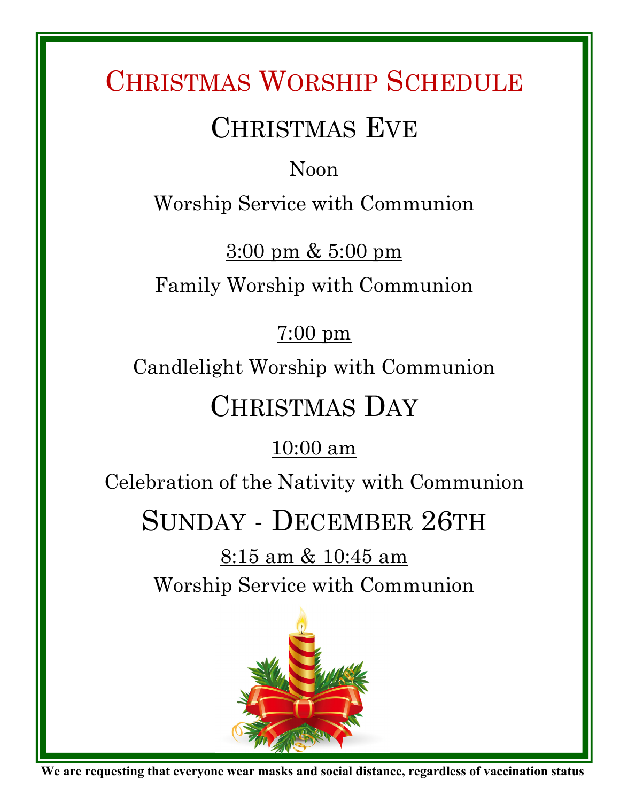# CHRISTMAS WORSHIP SCHEDULE

# CHRISTMAS EVE

## Noon

Worship Service with Communion

 $3:00 \text{ pm} \& 5:00 \text{ pm}$ 

Family Worship with Communion

## 7:00 pm

Candlelight Worship with Communion

# CHRISTMAS DAY

## 10:00 am

Celebration of the Nativity with Communion

# SUNDAY - DECEMBER 26TH

8:15 am & 10:45 am Worship Service with Communion